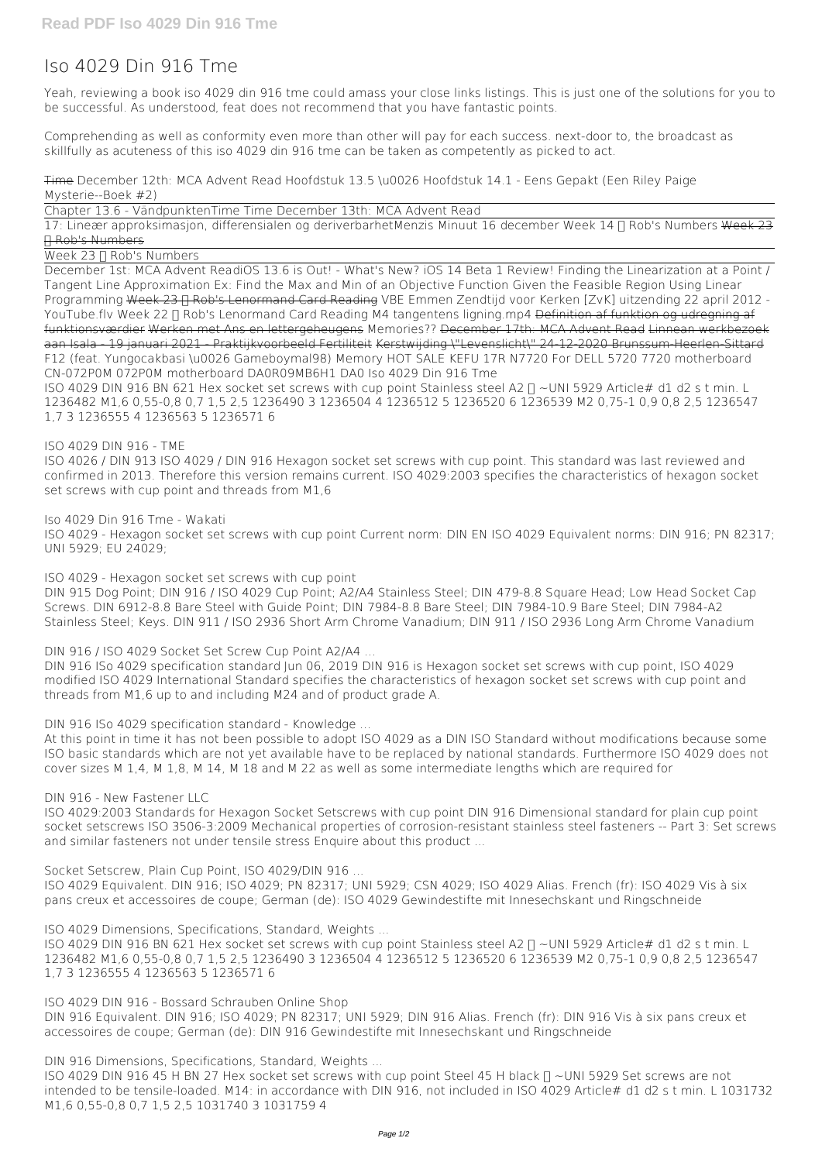## **Iso 4029 Din 916 Tme**

Yeah, reviewing a book **iso 4029 din 916 tme** could amass your close links listings. This is just one of the solutions for you to be successful. As understood, feat does not recommend that you have fantastic points.

Comprehending as well as conformity even more than other will pay for each success. next-door to, the broadcast as skillfully as acuteness of this iso 4029 din 916 tme can be taken as competently as picked to act.

Time **December 12th: MCA Advent Read** *Hoofdstuk 13.5 \u0026 Hoofdstuk 14.1 - Eens Gepakt (Een Riley Paige Mysterie--Boek #2)*

Chapter 13.6 - Vändpunkten*Time Time December 13th: MCA Advent Read*

17: Lineær approksimasjon, differensialen og deriverbarhet*Menzis Minuut 16 december* **Week 14 • Rob's Numbers** Week 23 • Rob's Numbers

Week 23  $\Pi$  Rob's Numbers

ISO 4029 DIN 916 BN 621 Hex socket set screws with cup point Stainless steel A2  $\Pi$  ~UNI 5929 Article# d1 d2 s t min. L 1236482 M1,6 0,55-0,8 0,7 1,5 2,5 1236490 3 1236504 4 1236512 5 1236520 6 1236539 M2 0,75-1 0,9 0,8 2,5 1236547 1,7 3 1236555 4 1236563 5 1236571 6

December 1st: MCA Advent Read**iOS 13.6 is Out! - What's New?** *iOS 14 Beta 1 Review!* **Finding the Linearization at a Point / Tangent Line Approximation Ex: Find the Max and Min of an Objective Function Given the Feasible Region Using Linear** Programming Week 23 F Rob's Lenormand Card Reading VBE Emmen Zendtijd voor Kerken [ZvK] uitzending 22 april 2012 -YouTube.flv Week 22  $\Pi$  Rob's Lenormand Card Reading M4 tangentens ligning.mp4 Definition af funktion og udregning af funktionsværdier Werken met Ans en lettergeheugens **Memories??** December 17th: MCA Advent Read Linnean werkbezoek aan Isala - 19 januari 2021 - Praktijkvoorbeeld Fertiliteit Kerstwijding \"Levenslicht\" 24-12-2020 Brunssum-Heerlen-Sittard *F12 (feat. Yungocakbasi \u0026 Gameboymal98)* **Memory** *HOT SALE KEFU 17R N7720 For DELL 5720 7720 motherboard CN-072P0M 072P0M motherboard DA0R09MB6H1 DA0 Iso 4029 Din 916 Tme*

*ISO 4029 DIN 916 - TME*

ISO 4026 / DIN 913 ISO 4029 / DIN 916 Hexagon socket set screws with cup point. This standard was last reviewed and confirmed in 2013. Therefore this version remains current. ISO 4029:2003 specifies the characteristics of hexagon socket set screws with cup point and threads from M1,6

ISO 4029 DIN 916 BN 621 Hex socket set screws with cup point Stainless steel A2  $\Box$  ~UNI 5929 Article# d1 d2 s t min. L 1236482 M1,6 0,55-0,8 0,7 1,5 2,5 1236490 3 1236504 4 1236512 5 1236520 6 1236539 M2 0,75-1 0,9 0,8 2,5 1236547 1,7 3 1236555 4 1236563 5 1236571 6

*Iso 4029 Din 916 Tme - Wakati*

ISO 4029 - Hexagon socket set screws with cup point Current norm: DIN EN ISO 4029 Equivalent norms: DIN 916; PN 82317; UNI 5929; EU 24029;

ISO 4029 DIN 916 45 H BN 27 Hex socket set screws with cup point Steel 45 H black  $\Box$  ~UNI 5929 Set screws are not intended to be tensile-loaded. M14: in accordance with DIN 916, not included in ISO 4029 Article# d1 d2 s t min. L 1031732 M1,6 0,55-0,8 0,7 1,5 2,5 1031740 3 1031759 4

*ISO 4029 - Hexagon socket set screws with cup point* DIN 915 Dog Point; DIN 916 / ISO 4029 Cup Point; A2/A4 Stainless Steel; DIN 479-8.8 Square Head; Low Head Socket Cap Screws. DIN 6912-8.8 Bare Steel with Guide Point; DIN 7984-8.8 Bare Steel; DIN 7984-10.9 Bare Steel; DIN 7984-A2 Stainless Steel; Keys. DIN 911 / ISO 2936 Short Arm Chrome Vanadium; DIN 911 / ISO 2936 Long Arm Chrome Vanadium

*DIN 916 / ISO 4029 Socket Set Screw Cup Point A2/A4 ...*

DIN 916 ISo 4029 specification standard Jun 06, 2019 DIN 916 is Hexagon socket set screws with cup point, ISO 4029 modified ISO 4029 International Standard specifies the characteristics of hexagon socket set screws with cup point and threads from M1,6 up to and including M24 and of product grade A.

*DIN 916 ISo 4029 specification standard - Knowledge ...*

At this point in time it has not been possible to adopt ISO 4029 as a DIN ISO Standard without modifications because some ISO basic standards which are not yet available have to be replaced by national standards. Furthermore ISO 4029 does not cover sizes M 1,4, M 1,8, M 14, M 18 and M 22 as well as some intermediate lengths which are required for

*DIN 916 - New Fastener LLC*

ISO 4029:2003 Standards for Hexagon Socket Setscrews with cup point DIN 916 Dimensional standard for plain cup point socket setscrews ISO 3506-3:2009 Mechanical properties of corrosion-resistant stainless steel fasteners -- Part 3: Set screws and similar fasteners not under tensile stress Enquire about this product ...

*Socket Setscrew, Plain Cup Point, ISO 4029/DIN 916 ...*

ISO 4029 Equivalent. DIN 916; ISO 4029; PN 82317; UNI 5929; CSN 4029; ISO 4029 Alias. French (fr): ISO 4029 Vis à six pans creux et accessoires de coupe; German (de): ISO 4029 Gewindestifte mit Innesechskant und Ringschneide

*ISO 4029 Dimensions, Specifications, Standard, Weights ...*

*ISO 4029 DIN 916 - Bossard Schrauben Online Shop* DIN 916 Equivalent. DIN 916; ISO 4029; PN 82317; UNI 5929; DIN 916 Alias. French (fr): DIN 916 Vis à six pans creux et accessoires de coupe; German (de): DIN 916 Gewindestifte mit Innesechskant und Ringschneide

*DIN 916 Dimensions, Specifications, Standard, Weights ...*